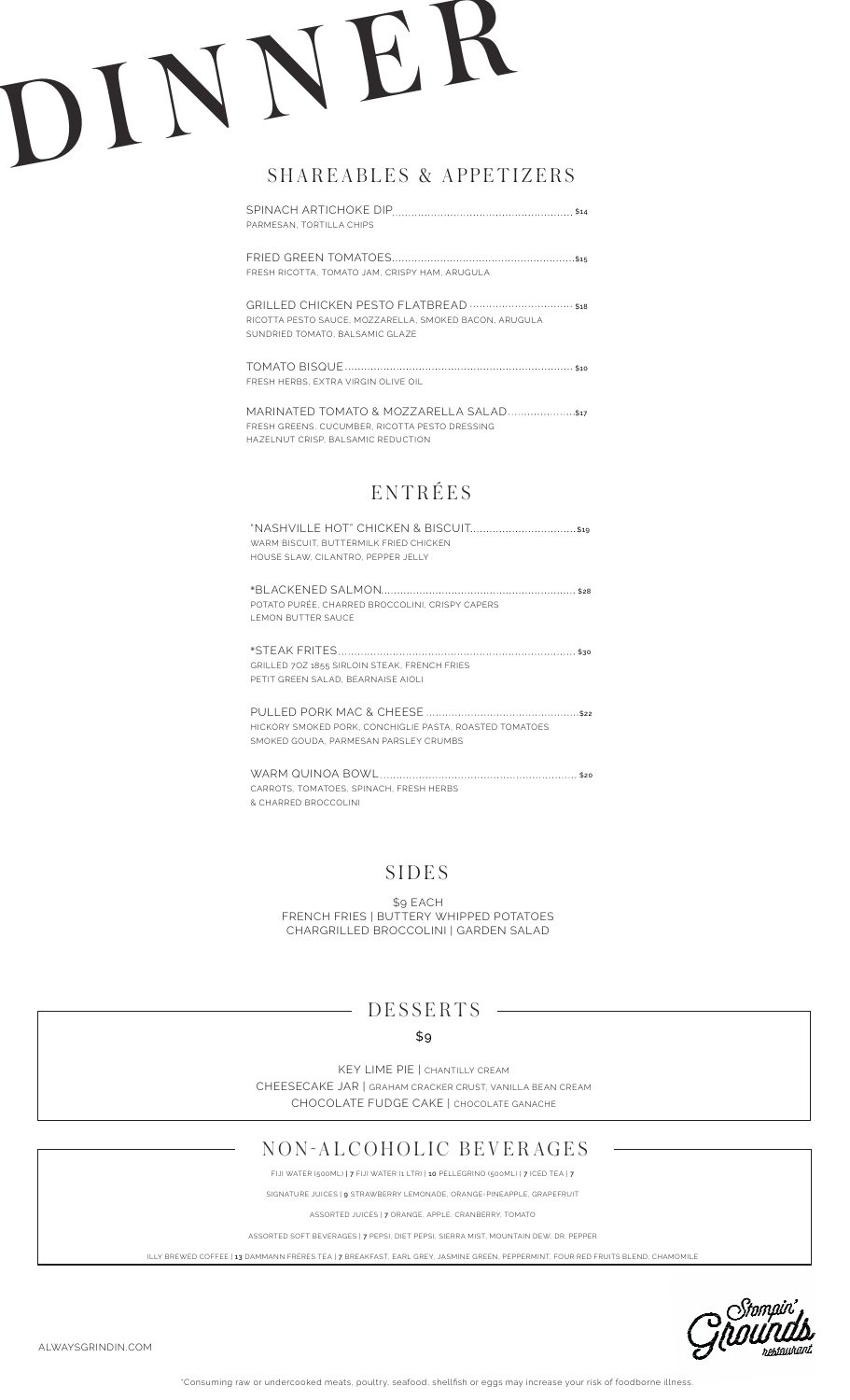## DINNE<sup>R</sup>

### SHAREABLES & APPETIZERS

SPINACH ARTICHOKE DIP \$14 PARMESAN, TORTILLA CHIPS

FRIED GREEN TOMATOES \$15 FRESH RICOTTA, TOMATO JAM, CRISPY HAM, ARUGULA

GRILLED CHICKEN PESTO FLATBREAD \$18 RICOTTA PESTO SAUCE, MOZZARELLA, SMOKED BACON, ARUGULA SUNDRIED TOMATO, BALSAMIC GLAZE

TOMATO BISQUE \$10 FRESH HERBS, EXTRA VIRGIN OLIVE OIL

MARINATED TOMATO & MOZZARELLA SALAD .....................\$17 FRESH GREENS, CUCUMBER, RICOTTA PESTO DRESSING HAZELNUT CRISP, BALSAMIC REDUCTION

## **ENTRÉES**

| WARM BISCUIT, BUTTERMILK FRIED CHICKEN. |  |
|-----------------------------------------|--|
| HOUSE SLAW, CILANTRO, PEPPER JELLY      |  |
|                                         |  |

\*BLACKENED SALMON \$28 POTATO PURÉE, CHARRED BROCCOLINI, CRISPY CAPERS LEMON BUTTER SAUCE

\*STEAK FRITES \$30 GRILLED 7OZ 1855 SIRLOIN STEAK, FRENCH FRIES PETIT GREEN SALAD, BEARNAISE AIOLI

PULLED PORK MAC & CHEESE \$22 HICKORY SMOKED PORK, CONCHIGLIE PASTA, ROASTED TOMATOES SMOKED GOUDA, PARMESAN PARSLEY CRUMBS

WARM QUINOA BOWL \$20 CARROTS, TOMATOES, SPINACH, FRESH HERBS & CHARRED BROCCOLINI

### SIDES

\$9 EACH FRENCH FRIES | BUTTERY WHIPPED POTATOES CHARGRILLED BROCCOLINI | GARDEN SALAD

### DESSERTS

### \$9

KEY LIME PIE | CHANTILLY CREAM CHEESECAKE JAR | GRAHAM CRACKER CRUST, VANILLA BEAN CREAM CHOCOLATE FUDGE CAKE | CHOCOLATE GANACHE

### NON-ALCOHOLIC BEVERAGES

FIJI WATER (500ML) | 7 FIJI WATER (1 LTR) | 10 PELLEGRINO (500ML) | 7 ICED TEA | 7

SIGNATURE JUICES | 9 STRAWBERRY LEMONADE, ORANGE-PINEAPPLE, GRAPEFRUIT

ASSORTED JUICES | 7 ORANGE, APPLE, CRANBERRY, TOMATO

ASSORTED SOFT BEVERAGES | 7 PEPSI, DIET PEPSI, SIERRA MIST, MOUNTAIN DEW, DR. PEPPER

ILLY BREWED COFFEE | 13 DAMMANN FRÈRES TEA | 7 BREAKFAST, EARL GREY, JASMINE GREEN, PEPPERMINT, FOUR RED FRUITS BLEND, CHAMOMILE



ALWAYSGRINDIN.COM

\*Consuming raw or undercooked meats, poultry, seafood, shellfish or eggs may increase your risk of foodborne illness.